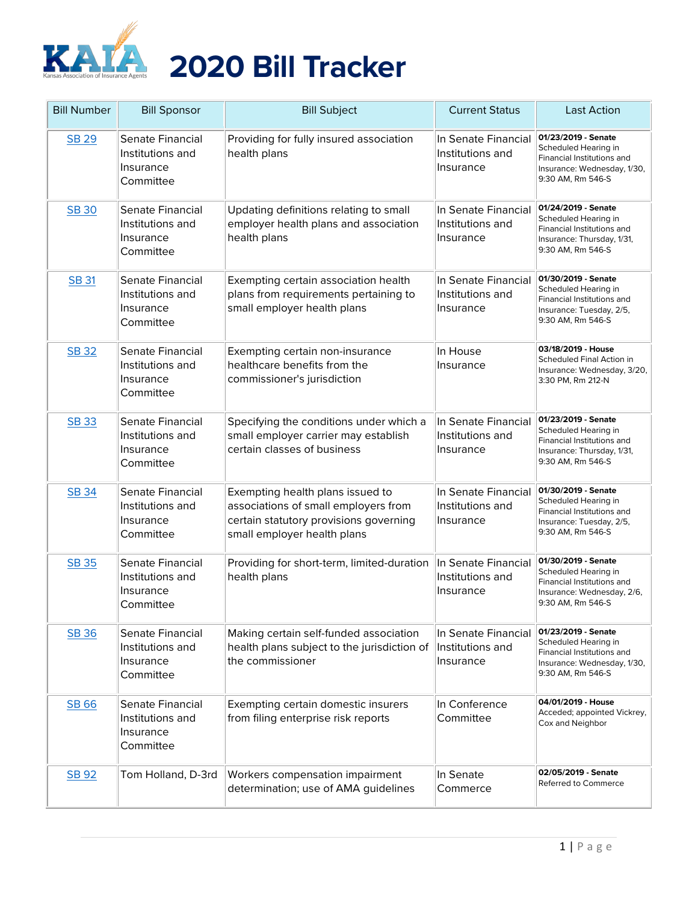

| <b>Bill Number</b> | <b>Bill Sponsor</b>                                            | <b>Bill Subject</b>                                                                                                                               | <b>Current Status</b>                                | <b>Last Action</b>                                                                                                            |
|--------------------|----------------------------------------------------------------|---------------------------------------------------------------------------------------------------------------------------------------------------|------------------------------------------------------|-------------------------------------------------------------------------------------------------------------------------------|
| <b>SB 29</b>       | Senate Financial<br>Institutions and<br>Insurance<br>Committee | Providing for fully insured association<br>health plans                                                                                           | In Senate Financial<br>Institutions and<br>Insurance | 01/23/2019 - Senate<br>Scheduled Hearing in<br>Financial Institutions and<br>Insurance: Wednesday, 1/30,<br>9:30 AM, Rm 546-S |
| <b>SB 30</b>       | Senate Financial<br>Institutions and<br>Insurance<br>Committee | Updating definitions relating to small<br>employer health plans and association<br>health plans                                                   | In Senate Financial<br>Institutions and<br>Insurance | 01/24/2019 - Senate<br>Scheduled Hearing in<br>Financial Institutions and<br>Insurance: Thursday, 1/31,<br>9:30 AM, Rm 546-S  |
| <b>SB 31</b>       | Senate Financial<br>Institutions and<br>Insurance<br>Committee | Exempting certain association health<br>plans from requirements pertaining to<br>small employer health plans                                      | In Senate Financial<br>Institutions and<br>Insurance | 01/30/2019 - Senate<br>Scheduled Hearing in<br>Financial Institutions and<br>Insurance: Tuesday, 2/5,<br>9:30 AM, Rm 546-S    |
| <b>SB32</b>        | Senate Financial<br>Institutions and<br>Insurance<br>Committee | Exempting certain non-insurance<br>healthcare benefits from the<br>commissioner's jurisdiction                                                    | In House<br>Insurance                                | 03/18/2019 - House<br>Scheduled Final Action in<br>Insurance: Wednesday, 3/20,<br>3:30 PM, Rm 212-N                           |
| <b>SB33</b>        | Senate Financial<br>Institutions and<br>Insurance<br>Committee | Specifying the conditions under which a<br>small employer carrier may establish<br>certain classes of business                                    | In Senate Financial<br>Institutions and<br>Insurance | 01/23/2019 - Senate<br>Scheduled Hearing in<br>Financial Institutions and<br>Insurance: Thursday, 1/31,<br>9:30 AM, Rm 546-S  |
| SB 34              | Senate Financial<br>Institutions and<br>Insurance<br>Committee | Exempting health plans issued to<br>associations of small employers from<br>certain statutory provisions governing<br>small employer health plans | In Senate Financial<br>Institutions and<br>Insurance | 01/30/2019 - Senate<br>Scheduled Hearing in<br>Financial Institutions and<br>Insurance: Tuesday, 2/5,<br>9:30 AM, Rm 546-S    |
| <b>SB 35</b>       | Senate Financial<br>Institutions and<br>Insurance<br>Committee | Providing for short-term, limited-duration<br>health plans                                                                                        | In Senate Financial<br>Institutions and<br>Insurance | 01/30/2019 - Senate<br>Scheduled Hearing in<br>Financial Institutions and<br>Insurance: Wednesday, 2/6,<br>9:30 AM, Rm 546-S  |
| <b>SB36</b>        | Senate Financial<br>Institutions and<br>Insurance<br>Committee | Making certain self-funded association<br>health plans subject to the jurisdiction of<br>the commissioner                                         | In Senate Financial<br>Institutions and<br>Insurance | 01/23/2019 - Senate<br>Scheduled Hearing in<br>Financial Institutions and<br>Insurance: Wednesday, 1/30,<br>9:30 AM, Rm 546-S |
| SB 66              | Senate Financial<br>Institutions and<br>Insurance<br>Committee | Exempting certain domestic insurers<br>from filing enterprise risk reports                                                                        | In Conference<br>Committee                           | 04/01/2019 - House<br>Acceded; appointed Vickrey,<br>Cox and Neighbor                                                         |
| <b>SB 92</b>       | Tom Holland, D-3rd                                             | Workers compensation impairment<br>determination; use of AMA guidelines                                                                           | In Senate<br>Commerce                                | 02/05/2019 - Senate<br>Referred to Commerce                                                                                   |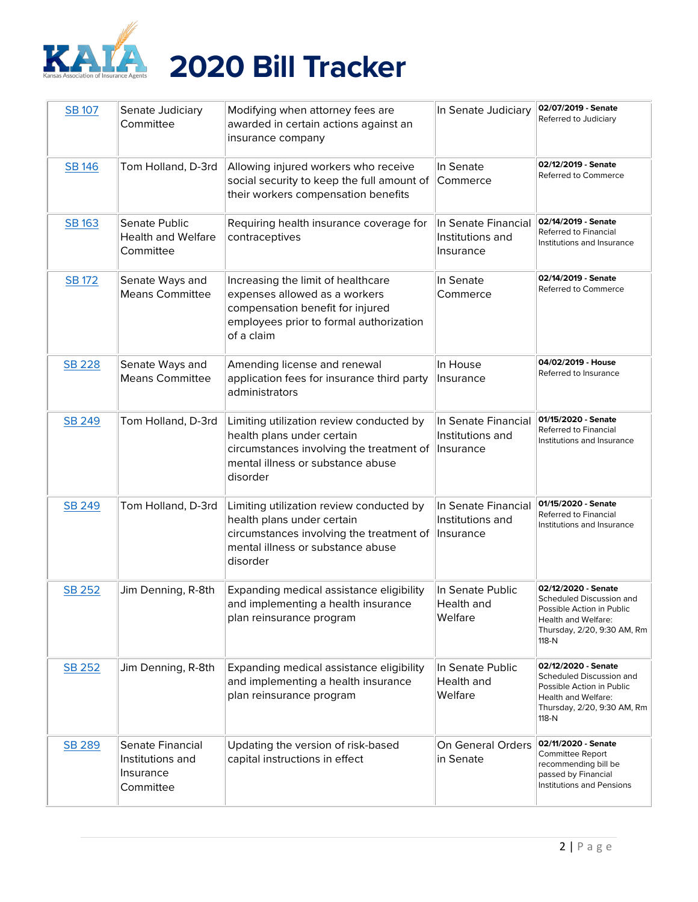

| <b>SB 107</b> | Senate Judiciary<br>Committee                                  | Modifying when attorney fees are<br>awarded in certain actions against an<br>insurance company                                                                      | In Senate Judiciary                                  | 02/07/2019 - Senate<br>Referred to Judiciary                                                                                                |
|---------------|----------------------------------------------------------------|---------------------------------------------------------------------------------------------------------------------------------------------------------------------|------------------------------------------------------|---------------------------------------------------------------------------------------------------------------------------------------------|
| <b>SB 146</b> | Tom Holland, D-3rd                                             | Allowing injured workers who receive<br>social security to keep the full amount of<br>their workers compensation benefits                                           | In Senate<br>Commerce                                | 02/12/2019 - Senate<br>Referred to Commerce                                                                                                 |
| <b>SB 163</b> | Senate Public<br><b>Health and Welfare</b><br>Committee        | Requiring health insurance coverage for<br>contraceptives                                                                                                           | In Senate Financial<br>Institutions and<br>Insurance | 02/14/2019 - Senate<br>Referred to Financial<br>Institutions and Insurance                                                                  |
| <b>SB 172</b> | Senate Ways and<br><b>Means Committee</b>                      | Increasing the limit of healthcare<br>expenses allowed as a workers<br>compensation benefit for injured<br>employees prior to formal authorization<br>of a claim    | In Senate<br>Commerce                                | 02/14/2019 - Senate<br>Referred to Commerce                                                                                                 |
| <b>SB 228</b> | Senate Ways and<br><b>Means Committee</b>                      | Amending license and renewal<br>application fees for insurance third party<br>administrators                                                                        | In House<br>Insurance                                | 04/02/2019 - House<br>Referred to Insurance                                                                                                 |
| SB 249        | Tom Holland, D-3rd                                             | Limiting utilization review conducted by<br>health plans under certain<br>circumstances involving the treatment of<br>mental illness or substance abuse<br>disorder | In Senate Financial<br>Institutions and<br>Insurance | 01/15/2020 - Senate<br>Referred to Financial<br>Institutions and Insurance                                                                  |
| SB 249        | Tom Holland, D-3rd                                             | Limiting utilization review conducted by<br>health plans under certain<br>circumstances involving the treatment of<br>mental illness or substance abuse<br>disorder | In Senate Financial<br>Institutions and<br>Insurance | 01/15/2020 - Senate<br>Referred to Financial<br>Institutions and Insurance                                                                  |
| SB 252        | Jim Denning, R-8th                                             | Expanding medical assistance eligibility<br>and implementing a health insurance<br>plan reinsurance program                                                         | In Senate Public<br>Health and<br>Welfare            | 02/12/2020 - Senate<br>Scheduled Discussion and<br>Possible Action in Public<br>Health and Welfare:<br>Thursday, 2/20, 9:30 AM, Rm<br>118-N |
| SB 252        | Jim Denning, R-8th                                             | Expanding medical assistance eligibility<br>and implementing a health insurance<br>plan reinsurance program                                                         | In Senate Public<br>Health and<br>Welfare            | 02/12/2020 - Senate<br>Scheduled Discussion and<br>Possible Action in Public<br>Health and Welfare:<br>Thursday, 2/20, 9:30 AM, Rm<br>118-N |
| SB 289        | Senate Financial<br>Institutions and<br>Insurance<br>Committee | Updating the version of risk-based<br>capital instructions in effect                                                                                                | On General Orders<br>in Senate                       | 02/11/2020 - Senate<br>Committee Report<br>recommending bill be<br>passed by Financial<br>Institutions and Pensions                         |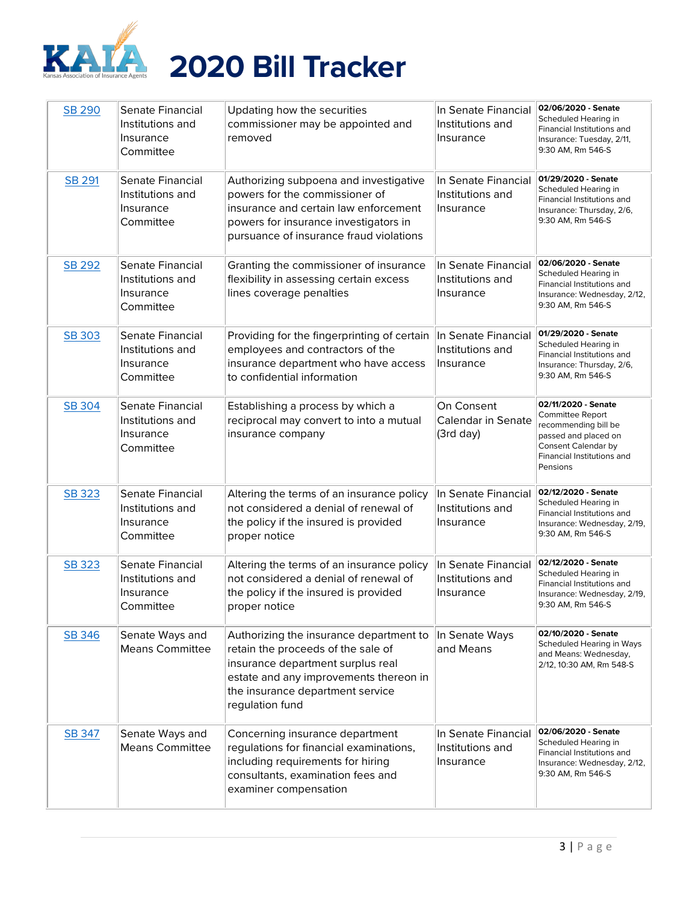

| <b>SB 290</b> | Senate Financial<br>Institutions and<br>Insurance<br>Committee | Updating how the securities<br>commissioner may be appointed and<br>removed                                                                                                                                         | In Senate Financial<br>Institutions and<br>Insurance | 02/06/2020 - Senate<br>Scheduled Hearing in<br>Financial Institutions and<br>Insurance: Tuesday, 2/11,<br>9:30 AM, Rm 546-S                              |
|---------------|----------------------------------------------------------------|---------------------------------------------------------------------------------------------------------------------------------------------------------------------------------------------------------------------|------------------------------------------------------|----------------------------------------------------------------------------------------------------------------------------------------------------------|
| <b>SB 291</b> | Senate Financial<br>Institutions and<br>Insurance<br>Committee | Authorizing subpoena and investigative<br>powers for the commissioner of<br>insurance and certain law enforcement<br>powers for insurance investigators in<br>pursuance of insurance fraud violations               | In Senate Financial<br>Institutions and<br>Insurance | 01/29/2020 - Senate<br>Scheduled Hearing in<br>Financial Institutions and<br>Insurance: Thursday, 2/6,<br>9:30 AM, Rm 546-S                              |
| <b>SB 292</b> | Senate Financial<br>Institutions and<br>Insurance<br>Committee | Granting the commissioner of insurance<br>flexibility in assessing certain excess<br>lines coverage penalties                                                                                                       | In Senate Financial<br>Institutions and<br>Insurance | 02/06/2020 - Senate<br>Scheduled Hearing in<br>Financial Institutions and<br>Insurance: Wednesday, 2/12,<br>9:30 AM, Rm 546-S                            |
| SB 303        | Senate Financial<br>Institutions and<br>Insurance<br>Committee | Providing for the fingerprinting of certain<br>employees and contractors of the<br>insurance department who have access<br>to confidential information                                                              | In Senate Financial<br>Institutions and<br>Insurance | 01/29/2020 - Senate<br>Scheduled Hearing in<br>Financial Institutions and<br>Insurance: Thursday, 2/6,<br>9:30 AM, Rm 546-S                              |
| SB 304        | Senate Financial<br>Institutions and<br>Insurance<br>Committee | Establishing a process by which a<br>reciprocal may convert to into a mutual<br>insurance company                                                                                                                   | On Consent<br>Calendar in Senate<br>(3rd day)        | 02/11/2020 - Senate<br>Committee Report<br>recommending bill be<br>passed and placed on<br>Consent Calendar by<br>Financial Institutions and<br>Pensions |
| <b>SB 323</b> | Senate Financial<br>Institutions and<br>Insurance<br>Committee | Altering the terms of an insurance policy<br>not considered a denial of renewal of<br>the policy if the insured is provided<br>proper notice                                                                        | In Senate Financial<br>Institutions and<br>Insurance | 02/12/2020 - Senate<br>Scheduled Hearing in<br>Financial Institutions and<br>Insurance: Wednesday, 2/19,<br>9:30 AM, Rm 546-S                            |
| <b>SB 323</b> | Senate Financial<br>Institutions and<br>Insurance<br>Committee | Altering the terms of an insurance policy<br>not considered a denial of renewal of<br>the policy if the insured is provided<br>proper notice                                                                        | In Senate Financial<br>Institutions and<br>Insurance | 02/12/2020 - Senate<br>Scheduled Hearing in<br>Financial Institutions and<br>Insurance: Wednesday, 2/19,<br>9:30 AM, Rm 546-S                            |
| SB 346        | Senate Ways and<br><b>Means Committee</b>                      | Authorizing the insurance department to<br>retain the proceeds of the sale of<br>insurance department surplus real<br>estate and any improvements thereon in<br>the insurance department service<br>regulation fund | In Senate Ways<br>and Means                          | 02/10/2020 - Senate<br>Scheduled Hearing in Ways<br>and Means: Wednesday,<br>2/12, 10:30 AM, Rm 548-S                                                    |
| <b>SB 347</b> | Senate Ways and<br><b>Means Committee</b>                      | Concerning insurance department<br>regulations for financial examinations,<br>including requirements for hiring<br>consultants, examination fees and<br>examiner compensation                                       | In Senate Financial<br>Institutions and<br>Insurance | 02/06/2020 - Senate<br>Scheduled Hearing in<br>Financial Institutions and<br>Insurance: Wednesday, 2/12,<br>9:30 AM, Rm 546-S                            |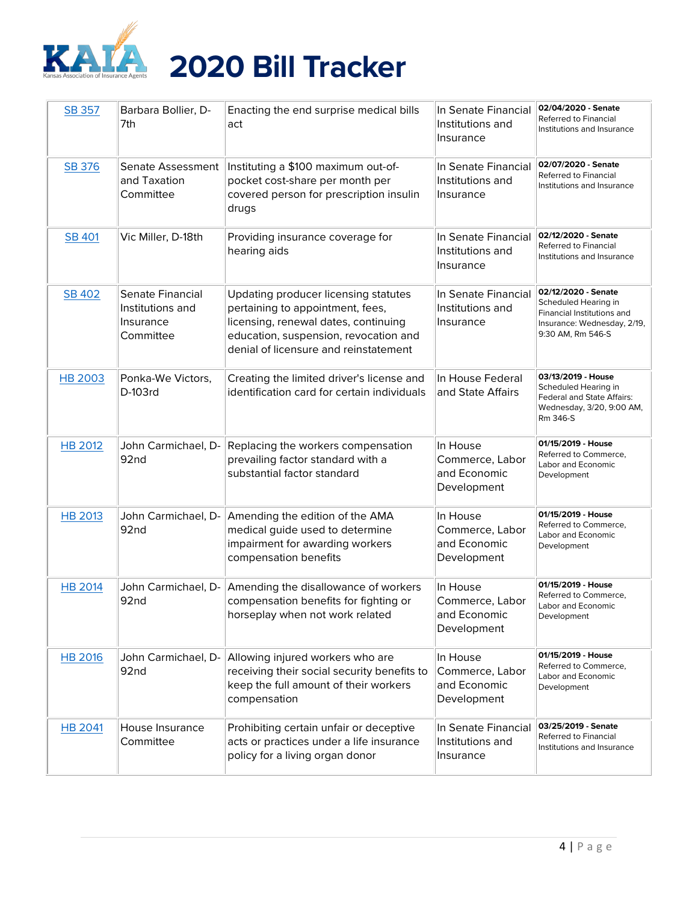

| SB 357         | Barbara Bollier, D-<br>7th                                     | Enacting the end surprise medical bills<br>act                                                                                                                                                     | In Senate Financial<br>Institutions and<br>Insurance       | 02/04/2020 - Senate<br>Referred to Financial<br>Institutions and Insurance                                                    |
|----------------|----------------------------------------------------------------|----------------------------------------------------------------------------------------------------------------------------------------------------------------------------------------------------|------------------------------------------------------------|-------------------------------------------------------------------------------------------------------------------------------|
| SB 376         | Senate Assessment<br>and Taxation<br>Committee                 | Instituting a \$100 maximum out-of-<br>pocket cost-share per month per<br>covered person for prescription insulin<br>drugs                                                                         | In Senate Financial<br>Institutions and<br>Insurance       | 02/07/2020 - Senate<br>Referred to Financial<br>Institutions and Insurance                                                    |
| <b>SB 401</b>  | Vic Miller, D-18th                                             | Providing insurance coverage for<br>hearing aids                                                                                                                                                   | In Senate Financial<br>Institutions and<br>Insurance       | 02/12/2020 - Senate<br>Referred to Financial<br>Institutions and Insurance                                                    |
| <b>SB 402</b>  | Senate Financial<br>Institutions and<br>Insurance<br>Committee | Updating producer licensing statutes<br>pertaining to appointment, fees,<br>licensing, renewal dates, continuing<br>education, suspension, revocation and<br>denial of licensure and reinstatement | In Senate Financial<br>Institutions and<br>Insurance       | 02/12/2020 - Senate<br>Scheduled Hearing in<br>Financial Institutions and<br>Insurance: Wednesday, 2/19,<br>9:30 AM, Rm 546-S |
| <b>HB 2003</b> | Ponka-We Victors,<br>D-103rd                                   | Creating the limited driver's license and<br>identification card for certain individuals                                                                                                           | In House Federal<br>and State Affairs                      | 03/13/2019 - House<br>Scheduled Hearing in<br>Federal and State Affairs:<br>Wednesday, 3/20, 9:00 AM,<br>Rm 346-S             |
| <b>HB 2012</b> | John Carmichael, D-<br>92nd                                    | Replacing the workers compensation<br>prevailing factor standard with a<br>substantial factor standard                                                                                             | In House<br>Commerce, Labor<br>and Economic<br>Development | 01/15/2019 - House<br>Referred to Commerce,<br>Labor and Economic<br>Development                                              |
| <b>HB 2013</b> | John Carmichael, D-<br>92nd                                    | Amending the edition of the AMA<br>medical guide used to determine<br>impairment for awarding workers<br>compensation benefits                                                                     | In House<br>Commerce, Labor<br>and Economic<br>Development | 01/15/2019 - House<br>Referred to Commerce,<br>Labor and Economic<br>Development                                              |
| <b>HB 2014</b> | John Carmichael, D-<br>92nd                                    | Amending the disallowance of workers<br>compensation benefits for fighting or<br>horseplay when not work related                                                                                   | In House<br>Commerce, Labor<br>and Economic<br>Development | 01/15/2019 - House<br>Referred to Commerce,<br>Labor and Economic<br>Development                                              |
| <b>HB 2016</b> | John Carmichael, D-<br>92nd                                    | Allowing injured workers who are<br>receiving their social security benefits to<br>keep the full amount of their workers<br>compensation                                                           | In House<br>Commerce, Labor<br>and Economic<br>Development | 01/15/2019 - House<br>Referred to Commerce,<br>Labor and Economic<br>Development                                              |
| <b>HB 2041</b> | House Insurance<br>Committee                                   | Prohibiting certain unfair or deceptive<br>acts or practices under a life insurance<br>policy for a living organ donor                                                                             | In Senate Financial<br>Institutions and<br>Insurance       | 03/25/2019 - Senate<br>Referred to Financial<br>Institutions and Insurance                                                    |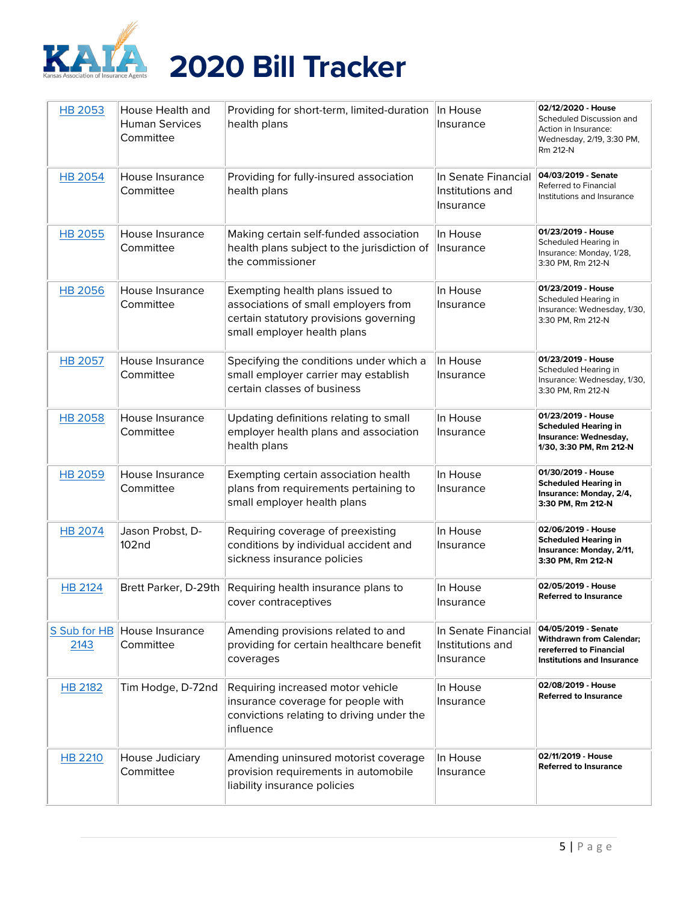

| <b>HB 2053</b>       | House Health and<br><b>Human Services</b><br>Committee | Providing for short-term, limited-duration<br>health plans                                                                                        | In House<br>Insurance                                | 02/12/2020 - House<br>Scheduled Discussion and<br>Action in Insurance:<br>Wednesday, 2/19, 3:30 PM,<br>Rm 212-N |
|----------------------|--------------------------------------------------------|---------------------------------------------------------------------------------------------------------------------------------------------------|------------------------------------------------------|-----------------------------------------------------------------------------------------------------------------|
| <b>HB 2054</b>       | House Insurance<br>Committee                           | Providing for fully-insured association<br>health plans                                                                                           | In Senate Financial<br>Institutions and<br>Insurance | 04/03/2019 - Senate<br>Referred to Financial<br>Institutions and Insurance                                      |
| <b>HB 2055</b>       | House Insurance<br>Committee                           | Making certain self-funded association<br>health plans subject to the jurisdiction of<br>the commissioner                                         | In House<br>Insurance                                | 01/23/2019 - House<br>Scheduled Hearing in<br>Insurance: Monday, 1/28,<br>3:30 PM, Rm 212-N                     |
| <b>HB 2056</b>       | House Insurance<br>Committee                           | Exempting health plans issued to<br>associations of small employers from<br>certain statutory provisions governing<br>small employer health plans | In House<br>Insurance                                | 01/23/2019 - House<br>Scheduled Hearing in<br>Insurance: Wednesday, 1/30,<br>3:30 PM, Rm 212-N                  |
| <b>HB 2057</b>       | House Insurance<br>Committee                           | Specifying the conditions under which a<br>small employer carrier may establish<br>certain classes of business                                    | In House<br>Insurance                                | 01/23/2019 - House<br>Scheduled Hearing in<br>Insurance: Wednesday, 1/30,<br>3:30 PM, Rm 212-N                  |
| <b>HB 2058</b>       | House Insurance<br>Committee                           | Updating definitions relating to small<br>employer health plans and association<br>health plans                                                   | In House<br>Insurance                                | 01/23/2019 - House<br><b>Scheduled Hearing in</b><br>Insurance: Wednesday,<br>1/30, 3:30 PM, Rm 212-N           |
| <b>HB 2059</b>       | House Insurance<br>Committee                           | Exempting certain association health<br>plans from requirements pertaining to<br>small employer health plans                                      | In House<br>Insurance                                | 01/30/2019 - House<br><b>Scheduled Hearing in</b><br>Insurance: Monday, 2/4,<br>3:30 PM, Rm 212-N               |
| <b>HB 2074</b>       | Jason Probst, D-<br>102 <sub>nd</sub>                  | Requiring coverage of preexisting<br>conditions by individual accident and<br>sickness insurance policies                                         | In House<br>Insurance                                | 02/06/2019 - House<br><b>Scheduled Hearing in</b><br>Insurance: Monday, 2/11,<br>3:30 PM, Rm 212-N              |
| HB 2124              | Brett Parker, D-29th                                   | Requiring health insurance plans to<br>cover contraceptives                                                                                       | In House<br>Insurance                                | 02/05/2019 - House<br><b>Referred to Insurance</b>                                                              |
| S Sub for HB<br>2143 | House Insurance<br>Committee                           | Amending provisions related to and<br>providing for certain healthcare benefit<br>coverages                                                       | In Senate Financial<br>Institutions and<br>Insurance | 04/05/2019 - Senate<br>Withdrawn from Calendar;<br>rereferred to Financial<br>Institutions and Insurance        |
| HB 2182              | Tim Hodge, D-72nd                                      | Requiring increased motor vehicle<br>insurance coverage for people with<br>convictions relating to driving under the<br>influence                 | In House<br>Insurance                                | 02/08/2019 - House<br><b>Referred to Insurance</b>                                                              |
| <b>HB 2210</b>       | House Judiciary<br>Committee                           | Amending uninsured motorist coverage<br>provision requirements in automobile<br>liability insurance policies                                      | In House<br>Insurance                                | 02/11/2019 - House<br><b>Referred to Insurance</b>                                                              |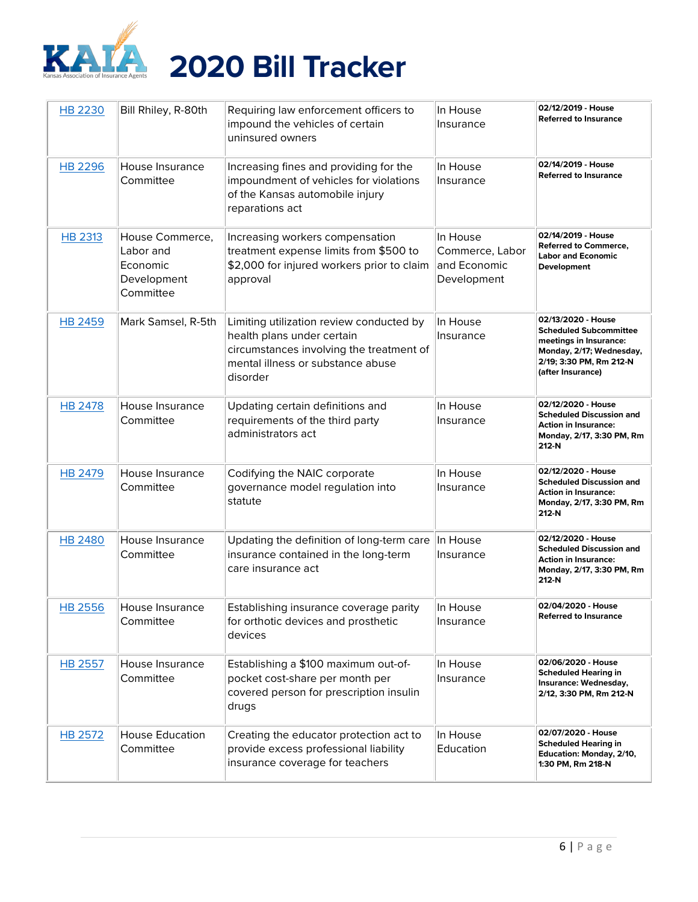

| <b>HB 2230</b> | Bill Rhiley, R-80th                                                  | Requiring law enforcement officers to<br>impound the vehicles of certain<br>uninsured owners                                                                        | In House<br>Insurance                                      | 02/12/2019 - House<br><b>Referred to Insurance</b>                                                                                                        |
|----------------|----------------------------------------------------------------------|---------------------------------------------------------------------------------------------------------------------------------------------------------------------|------------------------------------------------------------|-----------------------------------------------------------------------------------------------------------------------------------------------------------|
| HB 2296        | House Insurance<br>Committee                                         | Increasing fines and providing for the<br>impoundment of vehicles for violations<br>of the Kansas automobile injury<br>reparations act                              | In House<br>Insurance                                      | 02/14/2019 - House<br><b>Referred to Insurance</b>                                                                                                        |
| <b>HB 2313</b> | House Commerce,<br>Labor and<br>Economic<br>Development<br>Committee | Increasing workers compensation<br>treatment expense limits from \$500 to<br>\$2,000 for injured workers prior to claim<br>approval                                 | In House<br>Commerce, Labor<br>and Economic<br>Development | 02/14/2019 - House<br><b>Referred to Commerce,</b><br><b>Labor and Economic</b><br>Development                                                            |
| <b>HB 2459</b> | Mark Samsel, R-5th                                                   | Limiting utilization review conducted by<br>health plans under certain<br>circumstances involving the treatment of<br>mental illness or substance abuse<br>disorder | In House<br>Insurance                                      | 02/13/2020 - House<br><b>Scheduled Subcommittee</b><br>meetings in Insurance:<br>Monday, 2/17; Wednesday,<br>2/19; 3:30 PM, Rm 212-N<br>(after Insurance) |
| <b>HB 2478</b> | House Insurance<br>Committee                                         | Updating certain definitions and<br>requirements of the third party<br>administrators act                                                                           | In House<br>Insurance                                      | 02/12/2020 - House<br><b>Scheduled Discussion and</b><br><b>Action in Insurance:</b><br>Monday, 2/17, 3:30 PM, Rm<br>212-N                                |
| <b>HB 2479</b> | House Insurance<br>Committee                                         | Codifying the NAIC corporate<br>governance model regulation into<br>statute                                                                                         | In House<br>Insurance                                      | 02/12/2020 - House<br><b>Scheduled Discussion and</b><br><b>Action in Insurance:</b><br>Monday, 2/17, 3:30 PM, Rm<br>212-N                                |
| <b>HB 2480</b> | House Insurance<br>Committee                                         | Updating the definition of long-term care<br>insurance contained in the long-term<br>care insurance act                                                             | In House<br>Insurance                                      | 02/12/2020 - House<br><b>Scheduled Discussion and</b><br><b>Action in Insurance:</b><br>Monday, 2/17, 3:30 PM, Rm<br>212-N                                |
| HB 2556        | House Insurance<br>Committee                                         | Establishing insurance coverage parity<br>for orthotic devices and prosthetic<br>devices                                                                            | In House<br>Insurance                                      | 02/04/2020 - House<br><b>Referred to Insurance</b>                                                                                                        |
| <b>HB 2557</b> | House Insurance<br>Committee                                         | Establishing a \$100 maximum out-of-<br>pocket cost-share per month per<br>covered person for prescription insulin<br>drugs                                         | In House<br>Insurance                                      | 02/06/2020 - House<br><b>Scheduled Hearing in</b><br>Insurance: Wednesday,<br>2/12, 3:30 PM, Rm 212-N                                                     |
| HB 2572        | <b>House Education</b><br>Committee                                  | Creating the educator protection act to<br>provide excess professional liability<br>insurance coverage for teachers                                                 | In House<br>Education                                      | 02/07/2020 - House<br><b>Scheduled Hearing in</b><br>Education: Monday, 2/10,<br>1:30 PM, Rm 218-N                                                        |